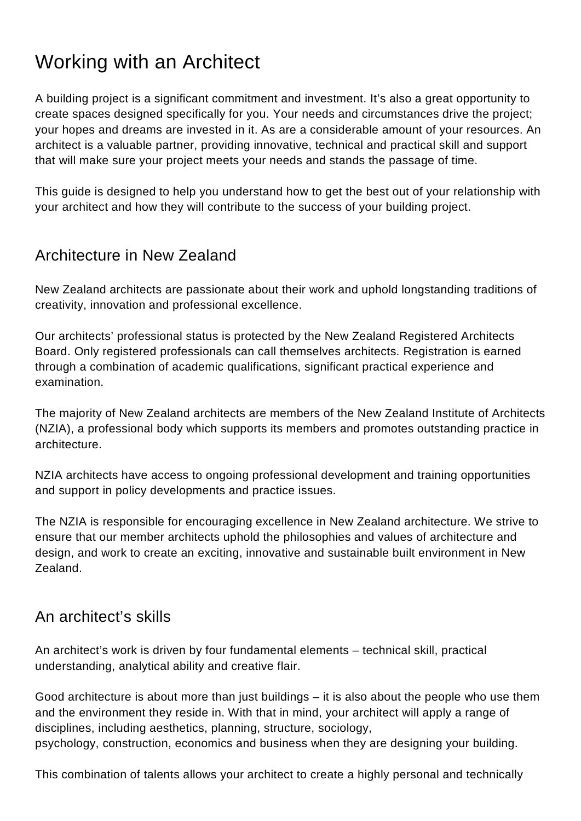# Working with an Architect

A building project is a significant commitment and investment. It's also a great opportunity to create spaces designed specifically for you. Your needs and circumstances drive the project; your hopes and dreams are invested in it. As are a considerable amount of your resources. An architect is a valuable partner, providing innovative, technical and practical skill and support that will make sure your project meets your needs and stands the passage of time.

This guide is designed to help you understand how to get the best out of your relationship with your architect and how they will contribute to the success of your building project.

# Architecture in New Zealand

New Zealand architects are passionate about their work and uphold longstanding traditions of creativity, innovation and professional excellence.

Our architects' professional status is protected by the New Zealand Registered Architects Board. Only registered professionals can call themselves architects. Registration is earned through a combination of academic qualifications, significant practical experience and examination.

The majority of New Zealand architects are members of the New Zealand Institute of Architects (NZIA), a professional body which supports its members and promotes outstanding practice in architecture.

NZIA architects have access to ongoing professional development and training opportunities and support in policy developments and practice issues.

The NZIA is responsible for encouraging excellence in New Zealand architecture. We strive to ensure that our member architects uphold the philosophies and values of architecture and design, and work to create an exciting, innovative and sustainable built environment in New Zealand.

# An architect's skills

An architect's work is driven by four fundamental elements – technical skill, practical understanding, analytical ability and creative flair.

Good architecture is about more than just buildings – it is also about the people who use them and the environment they reside in. With that in mind, your architect will apply a range of disciplines, including aesthetics, planning, structure, sociology, psychology, construction, economics and business when they are designing your building.

This combination of talents allows your architect to create a highly personal and technically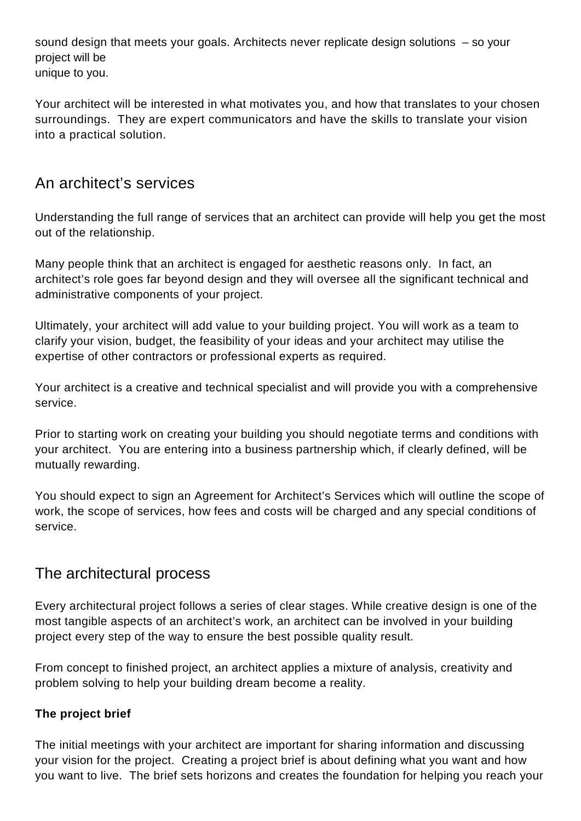sound design that meets your goals. Architects never replicate design solutions – so your project will be unique to you.

Your architect will be interested in what motivates you, and how that translates to your chosen surroundings. They are expert communicators and have the skills to translate your vision into a practical solution.

# An architect's services

Understanding the full range of services that an architect can provide will help you get the most out of the relationship.

Many people think that an architect is engaged for aesthetic reasons only. In fact, an architect's role goes far beyond design and they will oversee all the significant technical and administrative components of your project.

Ultimately, your architect will add value to your building project. You will work as a team to clarify your vision, budget, the feasibility of your ideas and your architect may utilise the expertise of other contractors or professional experts as required.

Your architect is a creative and technical specialist and will provide you with a comprehensive service.

Prior to starting work on creating your building you should negotiate terms and conditions with your architect. You are entering into a business partnership which, if clearly defined, will be mutually rewarding.

You should expect to sign an Agreement for Architect's Services which will outline the scope of work, the scope of services, how fees and costs will be charged and any special conditions of service.

# The architectural process

Every architectural project follows a series of clear stages. While creative design is one of the most tangible aspects of an architect's work, an architect can be involved in your building project every step of the way to ensure the best possible quality result.

From concept to finished project, an architect applies a mixture of analysis, creativity and problem solving to help your building dream become a reality.

#### **The project brief**

The initial meetings with your architect are important for sharing information and discussing your vision for the project. Creating a project brief is about defining what you want and how you want to live. The brief sets horizons and creates the foundation for helping you reach your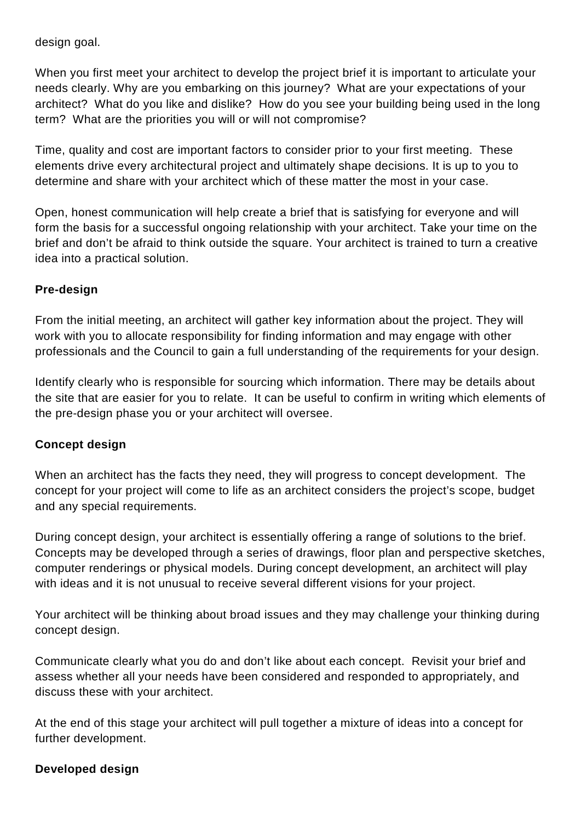design goal.

When you first meet your architect to develop the project brief it is important to articulate your needs clearly. Why are you embarking on this journey? What are your expectations of your architect? What do you like and dislike? How do you see your building being used in the long term? What are the priorities you will or will not compromise?

Time, quality and cost are important factors to consider prior to your first meeting. These elements drive every architectural project and ultimately shape decisions. It is up to you to determine and share with your architect which of these matter the most in your case.

Open, honest communication will help create a brief that is satisfying for everyone and will form the basis for a successful ongoing relationship with your architect. Take your time on the brief and don't be afraid to think outside the square. Your architect is trained to turn a creative idea into a practical solution.

#### **Pre-design**

From the initial meeting, an architect will gather key information about the project. They will work with you to allocate responsibility for finding information and may engage with other professionals and the Council to gain a full understanding of the requirements for your design.

Identify clearly who is responsible for sourcing which information. There may be details about the site that are easier for you to relate. It can be useful to confirm in writing which elements of the pre-design phase you or your architect will oversee.

#### **Concept design**

When an architect has the facts they need, they will progress to concept development. The concept for your project will come to life as an architect considers the project's scope, budget and any special requirements.

During concept design, your architect is essentially offering a range of solutions to the brief. Concepts may be developed through a series of drawings, floor plan and perspective sketches, computer renderings or physical models. During concept development, an architect will play with ideas and it is not unusual to receive several different visions for your project.

Your architect will be thinking about broad issues and they may challenge your thinking during concept design.

Communicate clearly what you do and don't like about each concept. Revisit your brief and assess whether all your needs have been considered and responded to appropriately, and discuss these with your architect.

At the end of this stage your architect will pull together a mixture of ideas into a concept for further development.

#### **Developed design**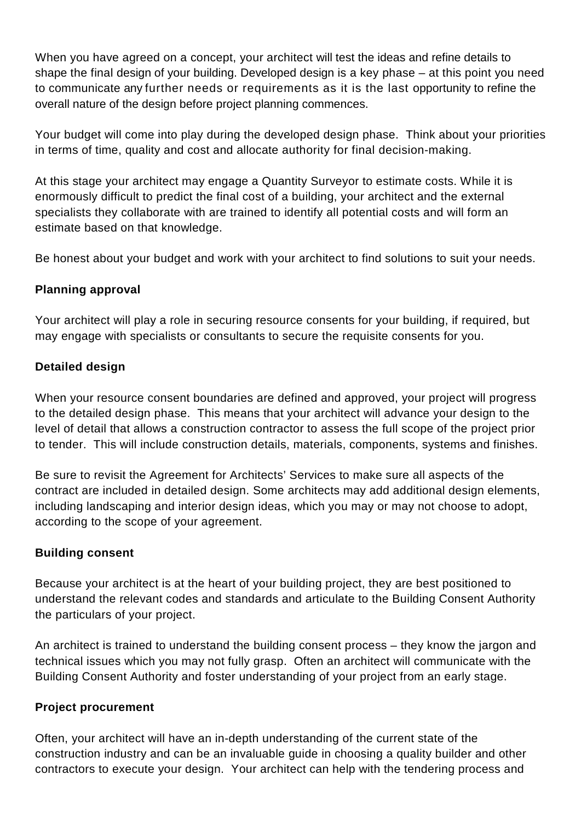When you have agreed on a concept, your architect will test the ideas and refine details to shape the final design of your building. Developed design is a key phase – at this point you need to communicate any further needs or requirements as it is the last opportunity to refine the overall nature of the design before project planning commences.

Your budget will come into play during the developed design phase. Think about your priorities in terms of time, quality and cost and allocate authority for final decision-making.

At this stage your architect may engage a Quantity Surveyor to estimate costs. While it is enormously difficult to predict the final cost of a building, your architect and the external specialists they collaborate with are trained to identify all potential costs and will form an estimate based on that knowledge.

Be honest about your budget and work with your architect to find solutions to suit your needs.

#### **Planning approval**

Your architect will play a role in securing resource consents for your building, if required, but may engage with specialists or consultants to secure the requisite consents for you.

#### **Detailed design**

When your resource consent boundaries are defined and approved, your project will progress to the detailed design phase. This means that your architect will advance your design to the level of detail that allows a construction contractor to assess the full scope of the project prior to tender. This will include construction details, materials, components, systems and finishes.

Be sure to revisit the Agreement for Architects' Services to make sure all aspects of the contract are included in detailed design. Some architects may add additional design elements, including landscaping and interior design ideas, which you may or may not choose to adopt, according to the scope of your agreement.

#### **Building consent**

Because your architect is at the heart of your building project, they are best positioned to understand the relevant codes and standards and articulate to the Building Consent Authority the particulars of your project.

An architect is trained to understand the building consent process – they know the jargon and technical issues which you may not fully grasp. Often an architect will communicate with the Building Consent Authority and foster understanding of your project from an early stage.

#### **Project procurement**

Often, your architect will have an in-depth understanding of the current state of the construction industry and can be an invaluable guide in choosing a quality builder and other contractors to execute your design. Your architect can help with the tendering process and